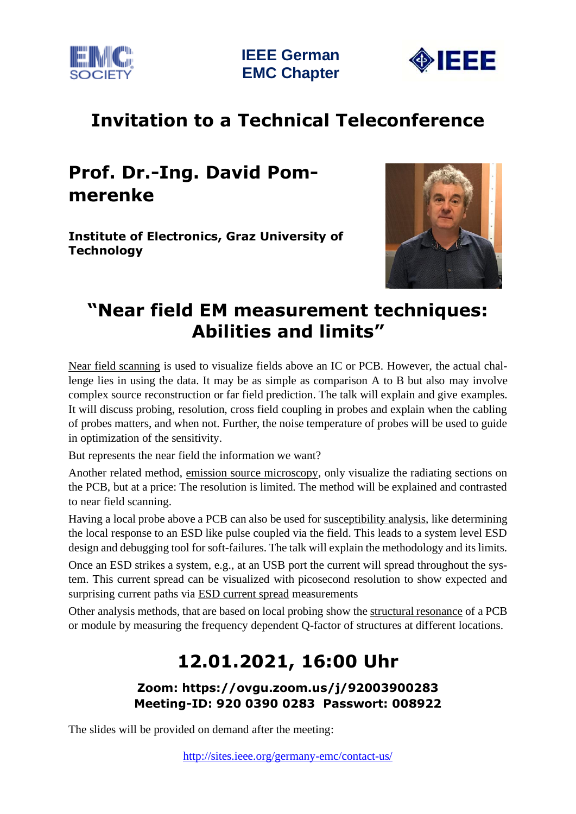



# **Invitation to a Technical Teleconference**

# **Prof. Dr.-Ing. David Pommerenke**

**Institute of Electronics, Graz University of Technology**



### **"Near field EM measurement techniques: Abilities and limits"**

Near field scanning is used to visualize fields above an IC or PCB. However, the actual challenge lies in using the data. It may be as simple as comparison A to B but also may involve complex source reconstruction or far field prediction. The talk will explain and give examples. It will discuss probing, resolution, cross field coupling in probes and explain when the cabling of probes matters, and when not. Further, the noise temperature of probes will be used to guide in optimization of the sensitivity.

But represents the near field the information we want?

Another related method, emission source microscopy, only visualize the radiating sections on the PCB, but at a price: The resolution is limited. The method will be explained and contrasted to near field scanning.

Having a local probe above a PCB can also be used for <u>susceptibility analysis</u>, like determining the local response to an ESD like pulse coupled via the field. This leads to a system level ESD design and debugging tool for soft-failures. The talk will explain the methodology and its limits.

Once an ESD strikes a system, e.g., at an USB port the current will spread throughout the system. This current spread can be visualized with picosecond resolution to show expected and surprising current paths via **ESD** current spread measurements

Other analysis methods, that are based on local probing show the structural resonance of a PCB or module by measuring the frequency dependent Q-factor of structures at different locations.

# **12.01.2021, 16:00 Uhr**

#### **Zoom: https://ovgu.zoom.us/j/92003900283 Meeting-ID: 920 0390 0283 Passwort: 008922**

The slides will be provided on demand after the meeting: